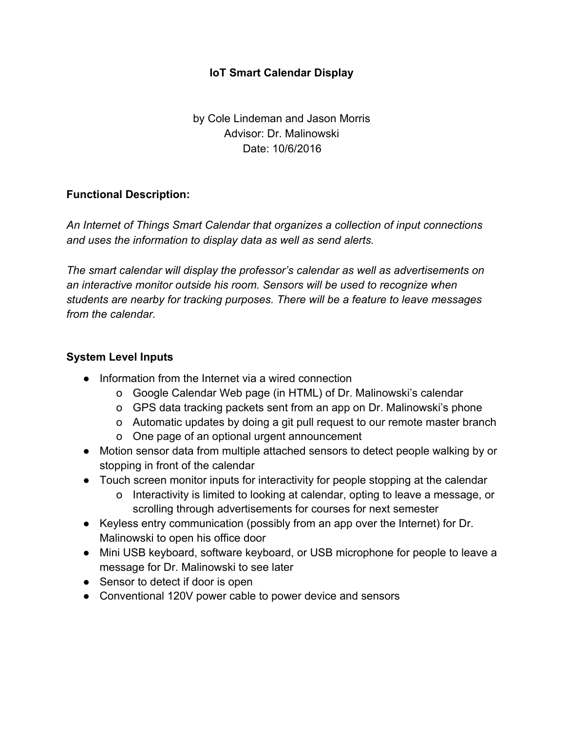## **IoT Smart Calendar Display**

by Cole Lindeman and Jason Morris Advisor: Dr. Malinowski Date: 10/6/2016

## **Functional Description:**

*An Internet of Things Smart Calendar that organizes a collection of input connections and uses the information to display data as well as send alerts.*

*The smart calendar will display the professor's calendar as well as advertisements on an interactive monitor outside his room. Sensors will be used to recognize when students are nearby for tracking purposes. There will be a feature to leave messages from the calendar.*

## **System Level Inputs**

- Information from the Internet via a wired connection
	- o Google Calendar Web page (in HTML) of Dr. Malinowski's calendar
	- o GPS data tracking packets sent from an app on Dr. Malinowski's phone
	- o Automatic updates by doing a git pull request to our remote master branch
	- o One page of an optional urgent announcement
- **●** Motion sensor data from multiple attached sensors to detect people walking by or stopping in front of the calendar
- **●** Touch screen monitor inputs for interactivity for people stopping at the calendar
	- o Interactivity is limited to looking at calendar, opting to leave a message, or scrolling through advertisements for courses for next semester
- **●** Keyless entry communication (possibly from an app over the Internet) for Dr. Malinowski to open his office door
- **●** Mini USB keyboard, software keyboard, or USB microphone for people to leave a message for Dr. Malinowski to see later
- **●** Sensor to detect if door is open
- Conventional 120V power cable to power device and sensors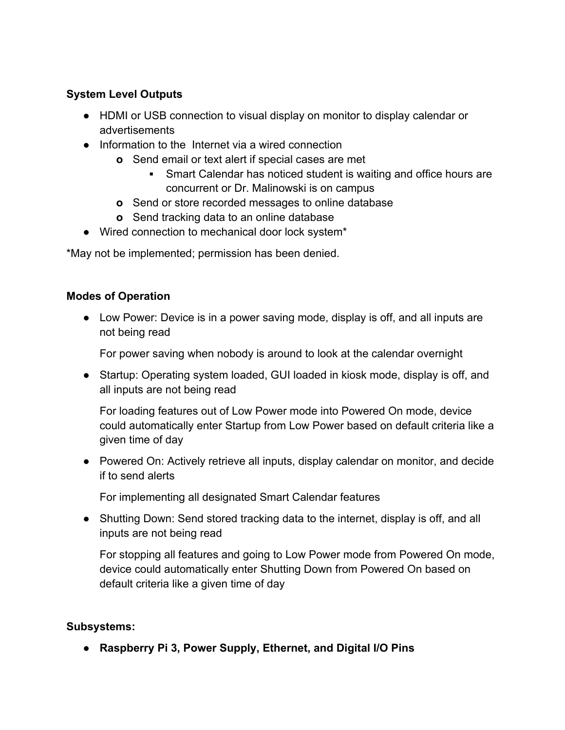# **System Level Outputs**

- **●** HDMI or USB connection to visual display on monitor to display calendar or advertisements
- **●** Information to the Internet via a wired connection
	- **o** Send email or text alert if special cases are met
		- **■** Smart Calendar has noticed student is waiting and office hours are concurrent or Dr. Malinowski is on campus
	- **o** Send or store recorded messages to online database
	- **o** Send tracking data to an online database
- Wired connection to mechanical door lock system\*

\*May not be implemented; permission has been denied.

#### **Modes of Operation**

● Low Power: Device is in a power saving mode, display is off, and all inputs are not being read

For power saving when nobody is around to look at the calendar overnight

● Startup: Operating system loaded, GUI loaded in kiosk mode, display is off, and all inputs are not being read

For loading features out of Low Power mode into Powered On mode, device could automatically enter Startup from Low Power based on default criteria like a given time of day

● Powered On: Actively retrieve all inputs, display calendar on monitor, and decide if to send alerts

For implementing all designated Smart Calendar features

● Shutting Down: Send stored tracking data to the internet, display is off, and all inputs are not being read

For stopping all features and going to Low Power mode from Powered On mode, device could automatically enter Shutting Down from Powered On based on default criteria like a given time of day

## **Subsystems:**

**● Raspberry Pi 3, Power Supply, Ethernet, and Digital I/O Pins**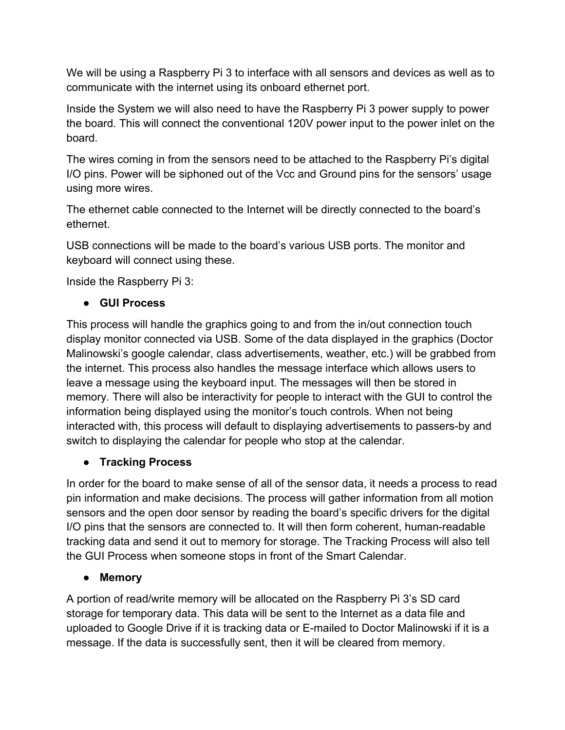We will be using a Raspberry Pi 3 to interface with all sensors and devices as well as to communicate with the internet using its onboard ethernet port.

Inside the System we will also need to have the Raspberry Pi 3 power supply to power the board. This will connect the conventional 120V power input to the power inlet on the board.

The wires coming in from the sensors need to be attached to the Raspberry Pi's digital I/O pins. Power will be siphoned out of the Vcc and Ground pins for the sensors' usage using more wires.

The ethernet cable connected to the Internet will be directly connected to the board's ethernet.

USB connections will be made to the board's various USB ports. The monitor and keyboard will connect using these.

Inside the Raspberry Pi 3:

# **● GUI Process**

This process will handle the graphics going to and from the in/out connection touch display monitor connected via USB. Some of the data displayed in the graphics (Doctor Malinowski's google calendar, class advertisements, weather, etc.) will be grabbed from the internet. This process also handles the message interface which allows users to leave a message using the keyboard input. The messages will then be stored in memory. There will also be interactivity for people to interact with the GUI to control the information being displayed using the monitor's touch controls. When not being interacted with, this process will default to displaying advertisements to passers-by and switch to displaying the calendar for people who stop at the calendar.

# **● Tracking Process**

In order for the board to make sense of all of the sensor data, it needs a process to read pin information and make decisions. The process will gather information from all motion sensors and the open door sensor by reading the board's specific drivers for the digital I/O pins that the sensors are connected to. It will then form coherent, human-readable tracking data and send it out to memory for storage. The Tracking Process will also tell the GUI Process when someone stops in front of the Smart Calendar.

# **● Memory**

A portion of read/write memory will be allocated on the Raspberry Pi 3's SD card storage for temporary data. This data will be sent to the Internet as a data file and uploaded to Google Drive if it is tracking data or E-mailed to Doctor Malinowski if it is a message. If the data is successfully sent, then it will be cleared from memory.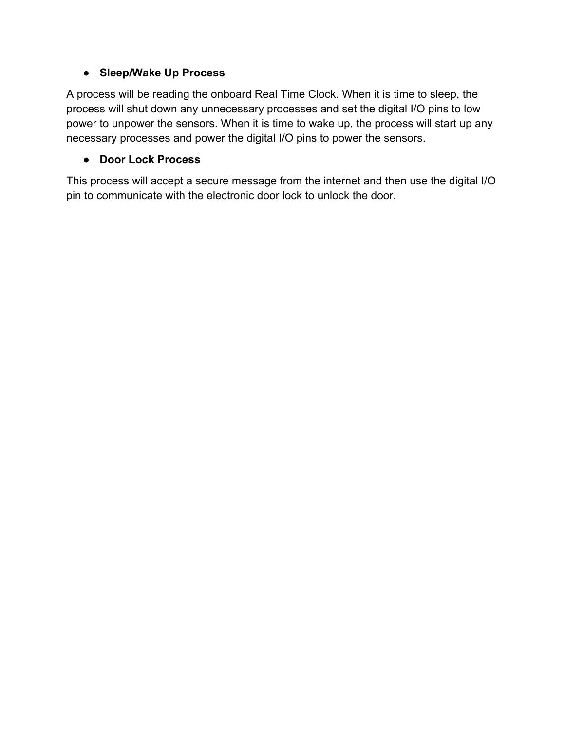## **● Sleep/Wake Up Process**

A process will be reading the onboard Real Time Clock. When it is time to sleep, the process will shut down any unnecessary processes and set the digital I/O pins to low power to unpower the sensors. When it is time to wake up, the process will start up any necessary processes and power the digital I/O pins to power the sensors.

## **● Door Lock Process**

This process will accept a secure message from the internet and then use the digital I/O pin to communicate with the electronic door lock to unlock the door.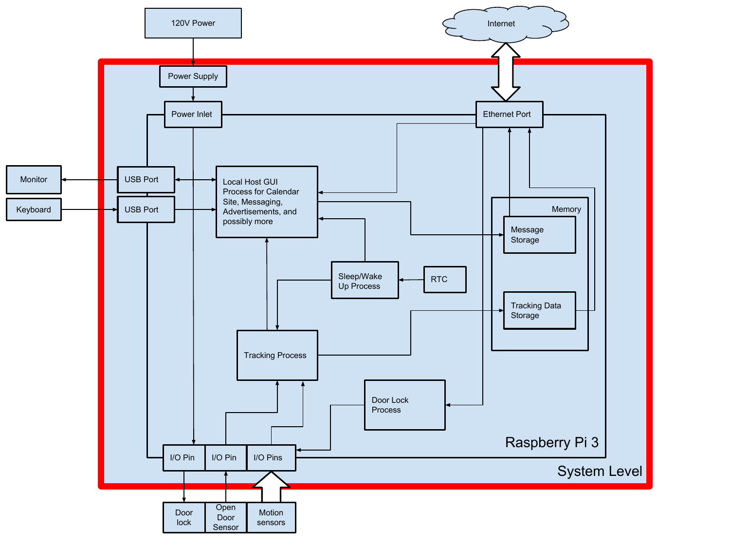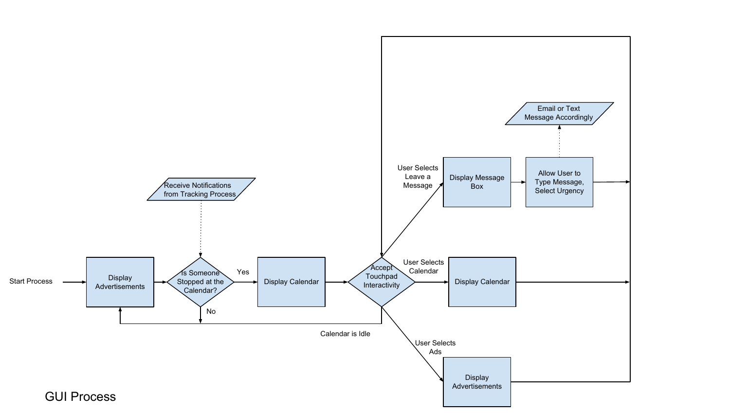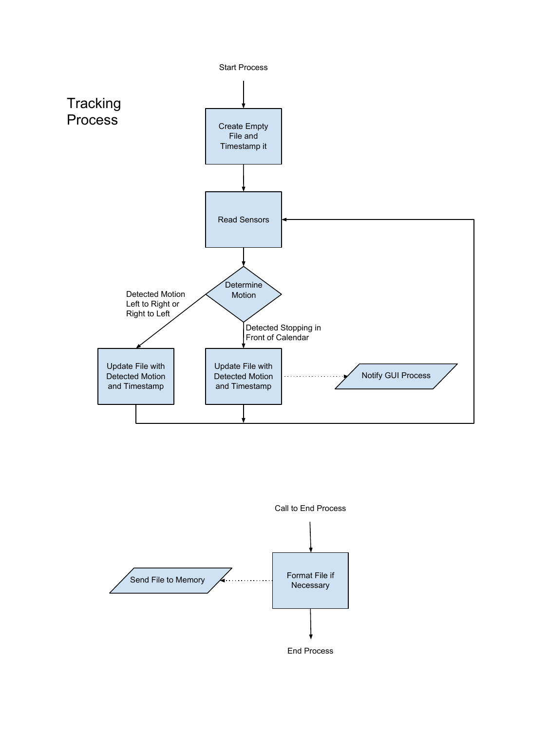